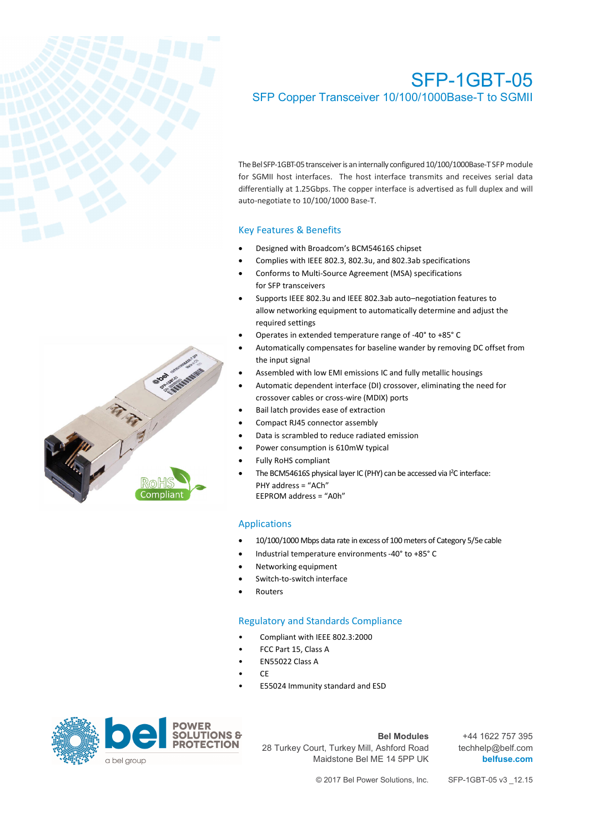

# SFP-1GBT-05 SFP Copper Transceiver 10/100/1000Base-T to SGMII

The Bel SFP-1GBT-05 transceiver is an internally configured 10/100/1000Base-T SFP module for SGMII host interfaces. The host interface transmits and receives serial data differentially at 1.25Gbps. The copper interface is advertised as full duplex and will auto-negotiate to 10/100/1000 Base-T.

## Key Features & Benefits

- Designed with Broadcom's BCM54616S chipset
- Complies with IEEE 802.3, 802.3u, and 802.3ab specifications
- Conforms to Multi-Source Agreement (MSA) specifications for SFP transceivers
- Supports IEEE 802.3u and IEEE 802.3ab auto–negotiation features to allow networking equipment to automatically determine and adjust the required settings
- Operates in extended temperature range of -40° to +85° C
- Automatically compensates for baseline wander by removing DC offset from the input signal
- Assembled with low EMI emissions IC and fully metallic housings
- Automatic dependent interface (DI) crossover, eliminating the need for crossover cables or cross-wire (MDIX) ports
- Bail latch provides ease of extraction
- Compact RJ45 connector assembly
- Data is scrambled to reduce radiated emission
- Power consumption is 610mW typical
- Fully RoHS compliant
- The BCM54616S physical layer IC (PHY) can be accessed via I<sup>2</sup>C interface: PHY address = "ACh" EEPROM address = "A0h"

## Applications

- 10/100/1000 Mbps data rate in excess of 100 meters of Category 5/5e cable
- Industrial temperature environments -40° to +85° C
- Networking equipment
- Switch-to-switch interface
- **Routers**

## Regulatory and Standards Compliance

- Compliant with IEEE 802.3:2000
- FCC Part 15, Class A
- EN55022 Class A
- CE
- E55024 Immunity standard and ESD



#### **Bel Modules**

28 Turkey Court, Turkey Mill, Ashford Road Maidstone Bel ME 14 5PP UK

+44 1622 757 395 techhelp@belf.com **belfuse.com**

© 2017 Bel Power Solutions, Inc. SFP-1GBT-05 v3 \_12.15

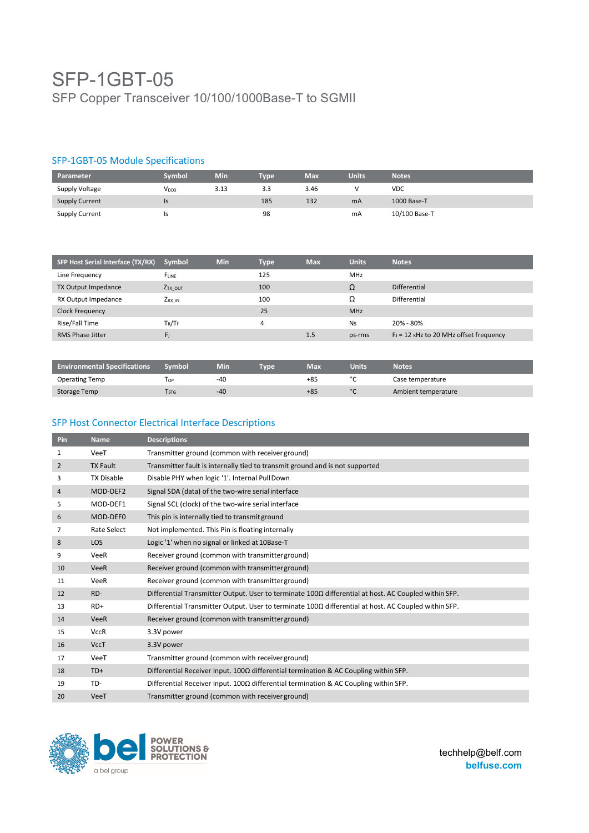# SFP-1GBT-05 SFP Copper Transceiver 10/100/1000Base-T to SGMII

## SFP-1GBT-05 Module Specifications

| Parameter             | Svmbol           | Min  | <b>Type</b> | <b>Max</b> | <b>Units</b> | <b>Notes</b>  |
|-----------------------|------------------|------|-------------|------------|--------------|---------------|
| Supply Voltage        | V <sub>DD3</sub> | 3.13 | 3.3         | 3.46       |              | <b>VDC</b>    |
| <b>Supply Current</b> | ıs               |      | 185         | 132        | mA           | 1000 Base-T   |
| <b>Supply Current</b> |                  |      | 98          |            | mA           | 10/100 Base-T |

| <b>SFP Host Serial Interface (TX/RX)</b> | Symbol              | Min | <b>Type</b> | <b>Max</b> | <b>Units</b> | <b>Notes</b>                              |
|------------------------------------------|---------------------|-----|-------------|------------|--------------|-------------------------------------------|
| Line Frequency                           | FLINE               |     | 125         |            | <b>MHz</b>   |                                           |
| TX Output Impedance                      | Z <sub>TX</sub> OUT |     | 100         |            | Ω            | Differential                              |
| RX Output Impedance                      | $Z_{RX}$ in         |     | 100         |            | Ω            | Differential                              |
| <b>Clock Frequency</b>                   |                     |     | 25          |            | <b>MHz</b>   |                                           |
| Rise/Fall Time                           | $T_R/T_F$           |     | 4           |            | <b>Ns</b>    | 20% - 80%                                 |
| <b>RMS Phase Jitter</b>                  | $F_{J}$             |     |             | 1.5        | ps-rms       | $F_J = 12$ KHz to 20 MHz offset frequency |

| <b>Environmental Specifications</b> | Symbol     | Min | <b>Type</b> | Max   | <b>Units</b> | <b>Notes</b>        |
|-------------------------------------|------------|-----|-------------|-------|--------------|---------------------|
| <b>Operating Temp</b>               | l op       | -40 |             | $+85$ |              | Case temperature    |
| Storage Temp                        | <b>STG</b> | -40 |             | $+85$ | $\sim$       | Ambient temperature |

## SFP Host Connector Electrical Interface Descriptions

| Pin            | <b>Name</b>        | <b>Descriptions</b>                                                                                         |
|----------------|--------------------|-------------------------------------------------------------------------------------------------------------|
| 1              | VeeT               | Transmitter ground (common with receiver ground)                                                            |
| $\overline{2}$ | <b>TX Fault</b>    | Transmitter fault is internally tied to transmit ground and is not supported                                |
| 3              | <b>TX Disable</b>  | Disable PHY when logic '1'. Internal Pull Down                                                              |
| 4              | MOD-DEF2           | Signal SDA (data) of the two-wire serial interface                                                          |
| 5              | MOD-DEF1           | Signal SCL (clock) of the two-wire serial interface                                                         |
| 6              | MOD-DEF0           | This pin is internally tied to transmit ground                                                              |
| 7              | <b>Rate Select</b> | Not implemented. This Pin is floating internally                                                            |
| 8              | <b>LOS</b>         | Logic '1' when no signal or linked at 10Base-T                                                              |
| 9              | VeeR               | Receiver ground (common with transmitter ground)                                                            |
| 10             | <b>VeeR</b>        | Receiver ground (common with transmitter ground)                                                            |
| 11             | VeeR               | Receiver ground (common with transmitter ground)                                                            |
| 12             | RD-                | Differential Transmitter Output. User to terminate 100Ω differential at host. AC Coupled within SFP.        |
| 13             | $RD+$              | Differential Transmitter Output. User to terminate $100\Omega$ differential at host. AC Coupled within SFP. |
| 14             | <b>VeeR</b>        | Receiver ground (common with transmitter ground)                                                            |
| 15             | <b>VccR</b>        | 3.3V power                                                                                                  |
| 16             | <b>VccT</b>        | 3.3V power                                                                                                  |
| 17             | VeeT               | Transmitter ground (common with receiver ground)                                                            |
| 18             | $TD+$              | Differential Receiver Input. $100\Omega$ differential termination & AC Coupling within SFP.                 |
| 19             | TD-                | Differential Receiver Input. $100\Omega$ differential termination & AC Coupling within SFP.                 |
| 20             | VeeT               | Transmitter ground (common with receiver ground)                                                            |



techhelp@belf.com **belfuse.com**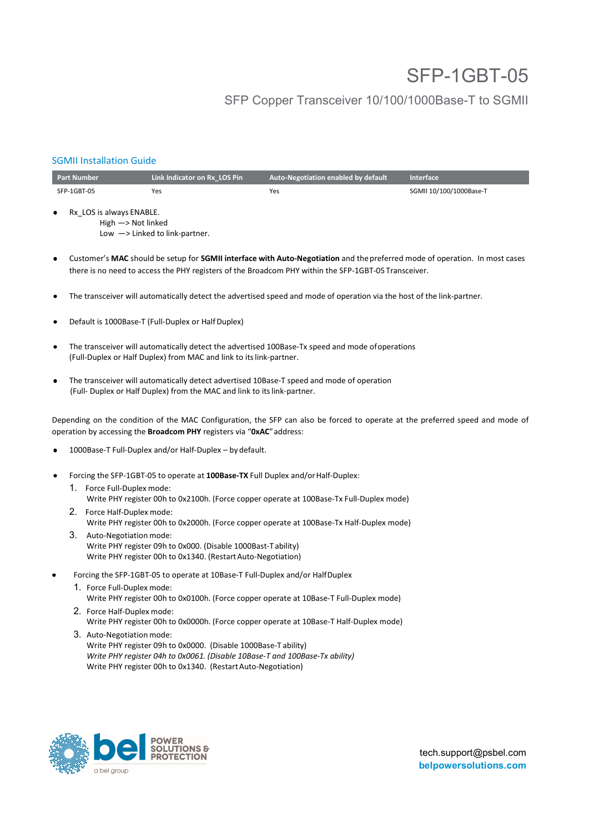# SFP-1GBT-05

## SFP Copper Transceiver 10/100/1000Base-T to SGMII

## SGMII Installation Guide

| <b>Part Number</b>                                             | Link Indicator on Rx LOS Pin              | Auto-Negotiation enabled by default | Interface               |
|----------------------------------------------------------------|-------------------------------------------|-------------------------------------|-------------------------|
| SFP-1GBT-05                                                    | Yes                                       | Yes                                 | SGMII 10/100/1000Base-T |
| Rx LOS is always ENABLE.<br>٠<br>High $\rightarrow$ Not linked | Low $\rightarrow$ Linked to link-partner. |                                     |                         |

• Customer's **MAC** should be setup for **SGMII interface with Auto-Negotiation** and the preferred mode of operation. In most cases there is no need to access the PHY registers of the Broadcom PHY within the SFP-1GBT-05 Transceiver.

- The transceiver will automatically detect the advertised speed and mode of operation via the host of the link-partner.
- Default is 1000Base-T (Full-Duplex or Half Duplex)
- The transceiver will automatically detect the advertised 100Base-Tx speed and mode of operations (Full-Duplex or Half Duplex) from MAC and link to its link-partner.
- The transceiver will automatically detect advertised 10Base-T speed and mode of operation (Full- Duplex or Half Duplex) from the MAC and link to its link-partner.

Depending on the condition of the MAC Configuration, the SFP can also be forced to operate at the preferred speed and mode of operation by accessing the **Broadcom PHY** registers via "**0xAC**" address:

- 1000Base-T Full-Duplex and/or Half-Duplex by default.
- Forcing the SFP-1GBT-05 to operate at **100Base-TX** Full Duplex and/or Half-Duplex:
	- 1. Force Full-Duplex mode: Write PHY register 00h to 0x2100h. (Force copper operate at 100Base-Tx Full-Duplex mode)
	- 2. Force Half-Duplex mode: Write PHY register 00h to 0x2000h. (Force copper operate at 100Base-Tx Half-Duplex mode)
	- 3. Auto-Negotiation mode: Write PHY register 09h to 0x000. (Disable 1000Bast-T ability) Write PHY register 00h to 0x1340. (Restart Auto-Negotiation)
- Forcing the SFP-1GBT-05 to operate at 10Base-T Full-Duplex and/or Half Duplex
	- 1. Force Full-Duplex mode: Write PHY register 00h to 0x0100h. (Force copper operate at 10Base-T Full-Duplex mode)
	- 2. Force Half-Duplex mode: Write PHY register 00h to 0x0000h. (Force copper operate at 10Base-T Half-Duplex mode)
	- 3. Auto-Negotiation mode: Write PHY register 09h to 0x0000. (Disable 1000Base-T ability) *Write PHY register 04h to 0x0061. (Disable 10Base-T and 100Base-Tx ability)*  Write PHY register 00h to 0x1340. (Restart Auto-Negotiation)